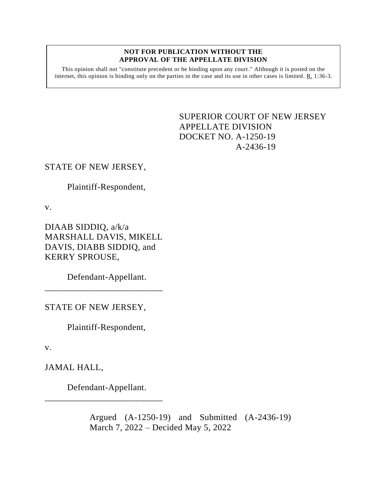#### **NOT FOR PUBLICATION WITHOUT THE APPROVAL OF THE APPELLATE DIVISION**

This opinion shall not "constitute precedent or be binding upon any court." Although it is posted on the internet, this opinion is binding only on the parties in the case and its use in other cases is limited. R. 1:36-3.

# <span id="page-0-0"></span>SUPERIOR COURT OF NEW JERSEY APPELLATE DIVISION DOCKET NO. A-1250-19 A-2436-19

## STATE OF NEW JERSEY,

Plaintiff-Respondent,

v.

DIAAB SIDDIQ, a/k/a MARSHALL DAVIS, MIKELL DAVIS, DIABB SIDDIQ, and KERRY SPROUSE,

Defendant-Appellant. \_\_\_\_\_\_\_\_\_\_\_\_\_\_\_\_\_\_\_\_\_\_\_\_\_\_

STATE OF NEW JERSEY,

Plaintiff-Respondent,

v.

JAMAL HALL,

Defendant-Appellant.

\_\_\_\_\_\_\_\_\_\_\_\_\_\_\_\_\_\_\_\_\_\_\_\_\_\_

Argued (A-1250-19) and Submitted (A-2436-19) March 7, 2022 – Decided May 5, 2022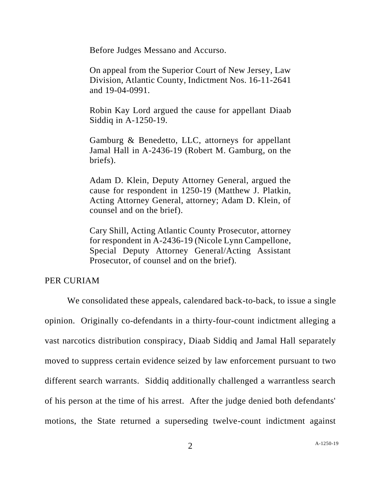Before Judges Messano and Accurso.

On appeal from the Superior Court of New Jersey, Law Division, Atlantic County, Indictment Nos. 16-11-2641 and 19-04-0991.

Robin Kay Lord argued the cause for appellant Diaab Siddiq in A-1250-19.

Gamburg & Benedetto, LLC, attorneys for appellant Jamal Hall in A-2436-19 (Robert M. Gamburg, on the briefs).

Adam D. Klein, Deputy Attorney General, argued the cause for respondent in 1250-19 (Matthew J. Platkin, Acting Attorney General, attorney; Adam D. Klein, of counsel and on the brief).

Cary Shill, Acting Atlantic County Prosecutor, attorney for respondent in A-2436-19 (Nicole Lynn Campellone, Special Deputy Attorney General/Acting Assistant Prosecutor, of counsel and on the brief).

### PER CURIAM

We consolidated these appeals, calendared back-to-back, to issue a single opinion. Originally co-defendants in a thirty-four-count indictment alleging a vast narcotics distribution conspiracy, Diaab Siddiq and Jamal Hall separately moved to suppress certain evidence seized by law enforcement pursuant to two different search warrants. Siddiq additionally challenged a warrantless search of his person at the time of his arrest. After the judge denied both defendants' motions, the State returned a superseding twelve-count indictment against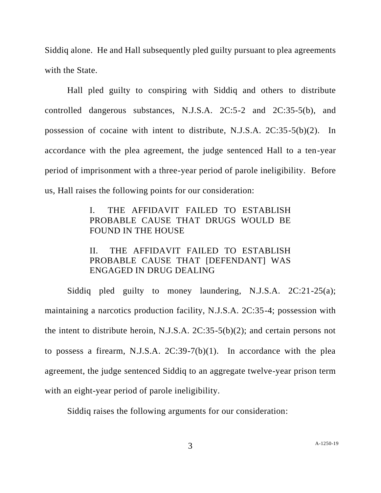Siddiq alone. He and Hall subsequently pled guilty pursuant to plea agreements with the State.

Hall pled guilty to conspiring with Siddiq and others to distribute controlled dangerous substances, N.J.S.A. 2C:5-2 and 2C:35-5(b), and possession of cocaine with intent to distribute, N.J.S.A. 2C:35-5(b)(2). In accordance with the plea agreement, the judge sentenced Hall to a ten-year period of imprisonment with a three-year period of parole ineligibility. Before us, Hall raises the following points for our consideration:

# I. THE AFFIDAVIT FAILED TO ESTABLISH PROBABLE CAUSE THAT DRUGS WOULD BE FOUND IN THE HOUSE

# II. THE AFFIDAVIT FAILED TO ESTABLISH PROBABLE CAUSE THAT [DEFENDANT] WAS ENGAGED IN DRUG DEALING

Siddiq pled guilty to money laundering, N.J.S.A. 2C:21-25(a); maintaining a narcotics production facility, N.J.S.A. 2C:35-4; possession with the intent to distribute heroin, N.J.S.A. 2C:35-5(b)(2); and certain persons not to possess a firearm, N.J.S.A.  $2C:39-7(b)(1)$ . In accordance with the plea agreement, the judge sentenced Siddiq to an aggregate twelve-year prison term with an eight-year period of parole ineligibility.

Siddiq raises the following arguments for our consideration: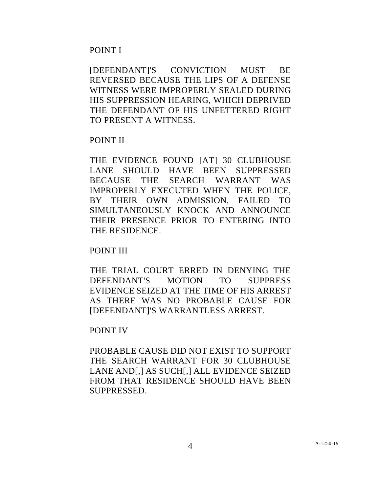## POINT I

[DEFENDANT]'S CONVICTION MUST BE REVERSED BECAUSE THE LIPS OF A DEFENSE WITNESS WERE IMPROPERLY SEALED DURING HIS SUPPRESSION HEARING, WHICH DEPRIVED THE DEFENDANT OF HIS UNFETTERED RIGHT TO PRESENT A WITNESS.

## POINT II

THE EVIDENCE FOUND [AT] 30 CLUBHOUSE LANE SHOULD HAVE BEEN SUPPRESSED BECAUSE THE SEARCH WARRANT WAS IMPROPERLY EXECUTED WHEN THE POLICE, BY THEIR OWN ADMISSION, FAILED TO SIMULTANEOUSLY KNOCK AND ANNOUNCE THEIR PRESENCE PRIOR TO ENTERING INTO THE RESIDENCE.

## POINT III

THE TRIAL COURT ERRED IN DENYING THE DEFENDANT'S MOTION TO SUPPRESS EVIDENCE SEIZED AT THE TIME OF HIS ARREST AS THERE WAS NO PROBABLE CAUSE FOR [DEFENDANT]'S WARRANTLESS ARREST.

## POINT IV

PROBABLE CAUSE DID NOT EXIST TO SUPPORT THE SEARCH WARRANT FOR 30 CLUBHOUSE LANE AND[,] AS SUCH[,] ALL EVIDENCE SEIZED FROM THAT RESIDENCE SHOULD HAVE BEEN SUPPRESSED.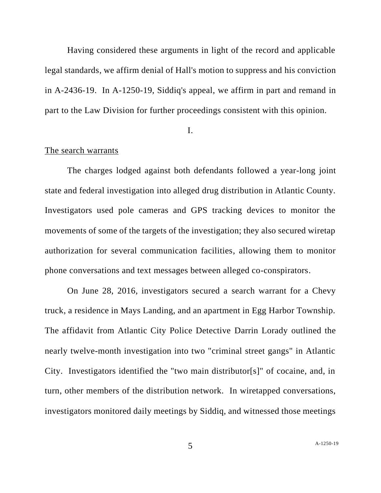Having considered these arguments in light of the record and applicable legal standards, we affirm denial of Hall's motion to suppress and his conviction in A-2436-19. In A-1250-19, Siddiq's appeal, we affirm in part and remand in part to the Law Division for further proceedings consistent with this opinion.

I.

### The search warrants

The charges lodged against both defendants followed a year-long joint state and federal investigation into alleged drug distribution in Atlantic County. Investigators used pole cameras and GPS tracking devices to monitor the movements of some of the targets of the investigation; they also secured wiretap authorization for several communication facilities, allowing them to monitor phone conversations and text messages between alleged co-conspirators.

On June 28, 2016, investigators secured a search warrant for a Chevy truck, a residence in Mays Landing, and an apartment in Egg Harbor Township. The affidavit from Atlantic City Police Detective Darrin Lorady outlined the nearly twelve-month investigation into two "criminal street gangs" in Atlantic City. Investigators identified the "two main distributor[s]" of cocaine, and, in turn, other members of the distribution network. In wiretapped conversations, investigators monitored daily meetings by Siddiq, and witnessed those meetings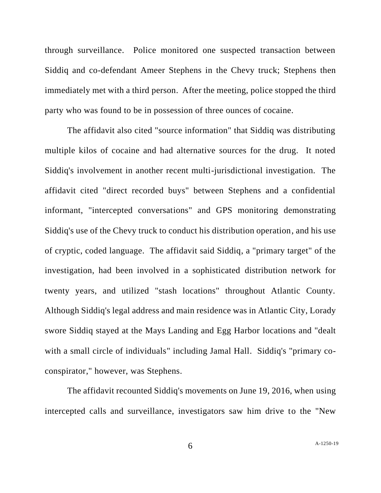through surveillance. Police monitored one suspected transaction between Siddiq and co-defendant Ameer Stephens in the Chevy truck; Stephens then immediately met with a third person. After the meeting, police stopped the third party who was found to be in possession of three ounces of cocaine.

The affidavit also cited "source information" that Siddiq was distributing multiple kilos of cocaine and had alternative sources for the drug. It noted Siddiq's involvement in another recent multi-jurisdictional investigation. The affidavit cited "direct recorded buys" between Stephens and a confidential informant, "intercepted conversations" and GPS monitoring demonstrating Siddiq's use of the Chevy truck to conduct his distribution operation, and his use of cryptic, coded language. The affidavit said Siddiq, a "primary target" of the investigation, had been involved in a sophisticated distribution network for twenty years, and utilized "stash locations" throughout Atlantic County. Although Siddiq's legal address and main residence was in Atlantic City, Lorady swore Siddiq stayed at the Mays Landing and Egg Harbor locations and "dealt with a small circle of individuals" including Jamal Hall. Siddiq's "primary coconspirator," however, was Stephens.

The affidavit recounted Siddiq's movements on June 19, 2016, when using intercepted calls and surveillance, investigators saw him drive to the "New

6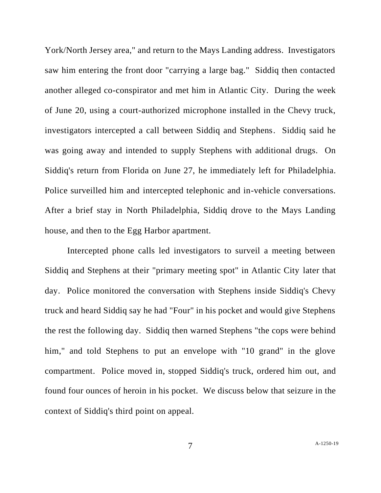York/North Jersey area," and return to the Mays Landing address. Investigators saw him entering the front door "carrying a large bag." Siddiq then contacted another alleged co-conspirator and met him in Atlantic City. During the week of June 20, using a court-authorized microphone installed in the Chevy truck, investigators intercepted a call between Siddiq and Stephens. Siddiq said he was going away and intended to supply Stephens with additional drugs. On Siddiq's return from Florida on June 27, he immediately left for Philadelphia. Police surveilled him and intercepted telephonic and in-vehicle conversations. After a brief stay in North Philadelphia, Siddiq drove to the Mays Landing house, and then to the Egg Harbor apartment.

Intercepted phone calls led investigators to surveil a meeting between Siddiq and Stephens at their "primary meeting spot" in Atlantic City later that day. Police monitored the conversation with Stephens inside Siddiq's Chevy truck and heard Siddiq say he had "Four" in his pocket and would give Stephens the rest the following day. Siddiq then warned Stephens "the cops were behind him," and told Stephens to put an envelope with "10 grand" in the glove compartment. Police moved in, stopped Siddiq's truck, ordered him out, and found four ounces of heroin in his pocket. We discuss below that seizure in the context of Siddiq's third point on appeal.

7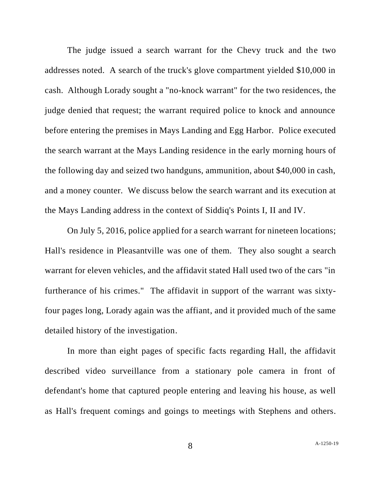The judge issued a search warrant for the Chevy truck and the two addresses noted. A search of the truck's glove compartment yielded \$10,000 in cash. Although Lorady sought a "no-knock warrant" for the two residences, the judge denied that request; the warrant required police to knock and announce before entering the premises in Mays Landing and Egg Harbor. Police executed the search warrant at the Mays Landing residence in the early morning hours of the following day and seized two handguns, ammunition, about \$40,000 in cash, and a money counter. We discuss below the search warrant and its execution at the Mays Landing address in the context of Siddiq's Points I, II and IV.

On July 5, 2016, police applied for a search warrant for nineteen locations; Hall's residence in Pleasantville was one of them. They also sought a search warrant for eleven vehicles, and the affidavit stated Hall used two of the cars "in furtherance of his crimes." The affidavit in support of the warrant was sixtyfour pages long, Lorady again was the affiant, and it provided much of the same detailed history of the investigation.

In more than eight pages of specific facts regarding Hall, the affidavit described video surveillance from a stationary pole camera in front of defendant's home that captured people entering and leaving his house, as well as Hall's frequent comings and goings to meetings with Stephens and others.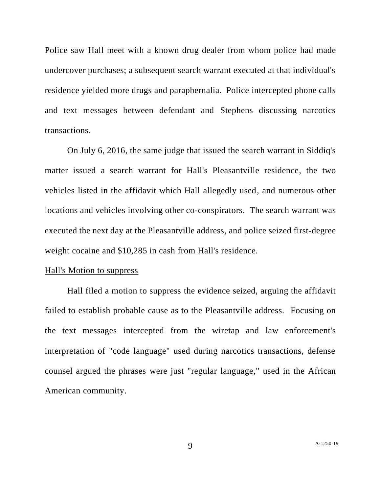Police saw Hall meet with a known drug dealer from whom police had made undercover purchases; a subsequent search warrant executed at that individual's residence yielded more drugs and paraphernalia. Police intercepted phone calls and text messages between defendant and Stephens discussing narcotics transactions.

On July 6, 2016, the same judge that issued the search warrant in Siddiq's matter issued a search warrant for Hall's Pleasantville residence, the two vehicles listed in the affidavit which Hall allegedly used, and numerous other locations and vehicles involving other co-conspirators. The search warrant was executed the next day at the Pleasantville address, and police seized first-degree weight cocaine and \$10,285 in cash from Hall's residence.

### Hall's Motion to suppress

Hall filed a motion to suppress the evidence seized, arguing the affidavit failed to establish probable cause as to the Pleasantville address. Focusing on the text messages intercepted from the wiretap and law enforcement's interpretation of "code language" used during narcotics transactions, defense counsel argued the phrases were just "regular language," used in the African American community.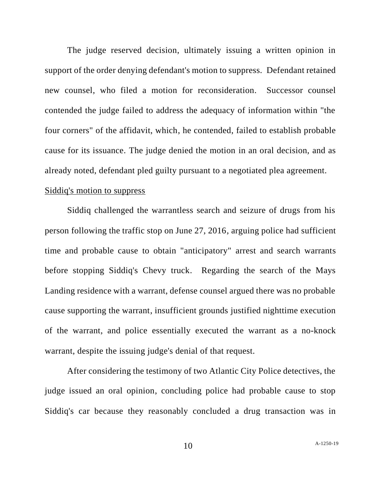The judge reserved decision, ultimately issuing a written opinion in support of the order denying defendant's motion to suppress. Defendant retained new counsel, who filed a motion for reconsideration. Successor counsel contended the judge failed to address the adequacy of information within "the four corners" of the affidavit, which, he contended, failed to establish probable cause for its issuance. The judge denied the motion in an oral decision, and as already noted, defendant pled guilty pursuant to a negotiated plea agreement. Siddiq's motion to suppress

Siddiq challenged the warrantless search and seizure of drugs from his person following the traffic stop on June 27, 2016, arguing police had sufficient time and probable cause to obtain "anticipatory" arrest and search warrants before stopping Siddiq's Chevy truck. Regarding the search of the Mays Landing residence with a warrant, defense counsel argued there was no probable cause supporting the warrant, insufficient grounds justified nighttime execution of the warrant, and police essentially executed the warrant as a no-knock warrant, despite the issuing judge's denial of that request.

After considering the testimony of two Atlantic City Police detectives, the judge issued an oral opinion, concluding police had probable cause to stop Siddiq's car because they reasonably concluded a drug transaction was in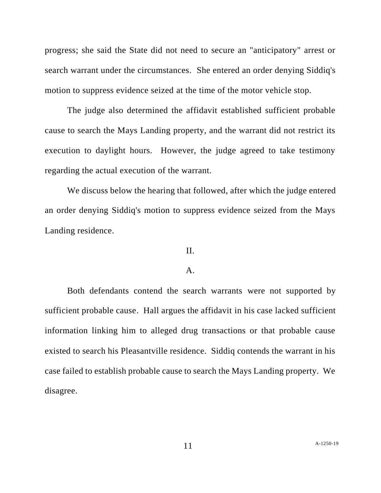progress; she said the State did not need to secure an "anticipatory" arrest or search warrant under the circumstances. She entered an order denying Siddiq's motion to suppress evidence seized at the time of the motor vehicle stop.

The judge also determined the affidavit established sufficient probable cause to search the Mays Landing property, and the warrant did not restrict its execution to daylight hours. However, the judge agreed to take testimony regarding the actual execution of the warrant.

We discuss below the hearing that followed, after which the judge entered an order denying Siddiq's motion to suppress evidence seized from the Mays Landing residence.

### II.

#### A.

Both defendants contend the search warrants were not supported by sufficient probable cause. Hall argues the affidavit in his case lacked sufficient information linking him to alleged drug transactions or that probable cause existed to search his Pleasantville residence. Siddiq contends the warrant in his case failed to establish probable cause to search the Mays Landing property. We disagree.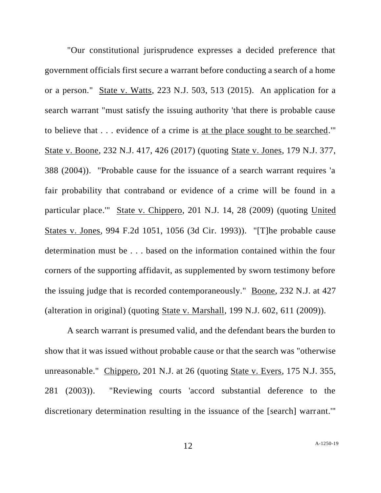"Our constitutional jurisprudence expresses a decided preference that government officials first secure a warrant before conducting a search of a home or a person." State v. Watts, 223 N.J. 503, 513 (2015). An application for a search warrant "must satisfy the issuing authority 'that there is probable cause to believe that . . . evidence of a crime is at the place sought to be searched.'" State v. Boone, 232 N.J. 417, 426 (2017) (quoting State v. Jones, 179 N.J. 377, 388 (2004)). "Probable cause for the issuance of a search warrant requires 'a fair probability that contraband or evidence of a crime will be found in a particular place.'" State v. Chippero, 201 N.J. 14, 28 (2009) (quoting United States v. Jones, 994 F.2d 1051, 1056 (3d Cir. 1993)). "[T]he probable cause determination must be . . . based on the information contained within the four corners of the supporting affidavit, as supplemented by sworn testimony before the issuing judge that is recorded contemporaneously." Boone, 232 N.J. at 427 (alteration in original) (quoting State v. Marshall, 199 N.J. 602, 611 (2009)).

A search warrant is presumed valid, and the defendant bears the burden to show that it was issued without probable cause or that the search was "otherwise unreasonable." Chippero, 201 N.J. at 26 (quoting State v. Evers, 175 N.J. 355, 281 (2003)). "Reviewing courts 'accord substantial deference to the discretionary determination resulting in the issuance of the [search] warrant.'"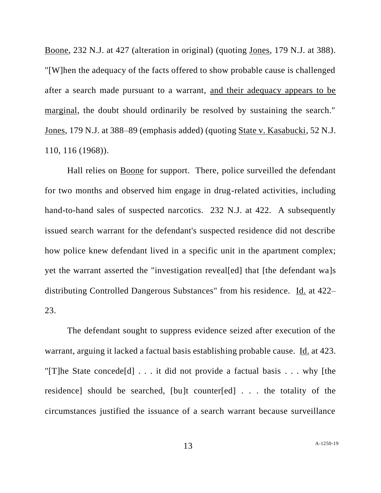Boone, 232 N.J. at 427 (alteration in original) (quoting Jones, 179 N.J. at 388). "[W]hen the adequacy of the facts offered to show probable cause is challenged after a search made pursuant to a warrant, and their adequacy appears to be marginal, the doubt should ordinarily be resolved by sustaining the search." Jones, 179 N.J. at 388–89 (emphasis added) (quoting State v. Kasabucki, 52 N.J. 110, 116 (1968)).

Hall relies on Boone for support. There, police surveilled the defendant for two months and observed him engage in drug-related activities, including hand-to-hand sales of suspected narcotics. 232 N.J. at 422. A subsequently issued search warrant for the defendant's suspected residence did not describe how police knew defendant lived in a specific unit in the apartment complex; yet the warrant asserted the "investigation reveal[ed] that [the defendant wa]s distributing Controlled Dangerous Substances" from his residence. Id. at 422– 23.

The defendant sought to suppress evidence seized after execution of the warrant, arguing it lacked a factual basis establishing probable cause. Id. at 423. "[T]he State concede<sup>[d]</sup> . . . it did not provide a factual basis . . . why [the residence] should be searched, [bu]t counter[ed] . . . the totality of the circumstances justified the issuance of a search warrant because surveillance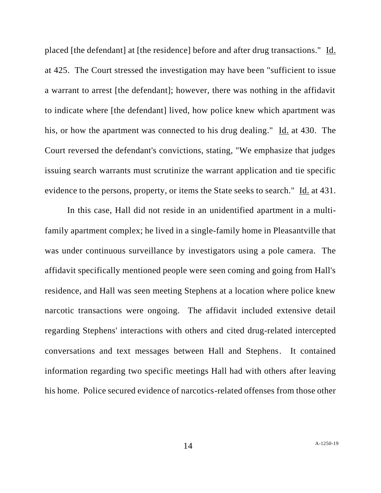placed [the defendant] at [the residence] before and after drug transactions." Id. at 425. The Court stressed the investigation may have been "sufficient to issue a warrant to arrest [the defendant]; however, there was nothing in the affidavit to indicate where [the defendant] lived, how police knew which apartment was his, or how the apartment was connected to his drug dealing." Id. at 430. The Court reversed the defendant's convictions, stating, "We emphasize that judges issuing search warrants must scrutinize the warrant application and tie specific evidence to the persons, property, or items the State seeks to search." Id. at 431.

In this case, Hall did not reside in an unidentified apartment in a multifamily apartment complex; he lived in a single-family home in Pleasantville that was under continuous surveillance by investigators using a pole camera. The affidavit specifically mentioned people were seen coming and going from Hall's residence, and Hall was seen meeting Stephens at a location where police knew narcotic transactions were ongoing. The affidavit included extensive detail regarding Stephens' interactions with others and cited drug-related intercepted conversations and text messages between Hall and Stephens. It contained information regarding two specific meetings Hall had with others after leaving his home. Police secured evidence of narcotics-related offenses from those other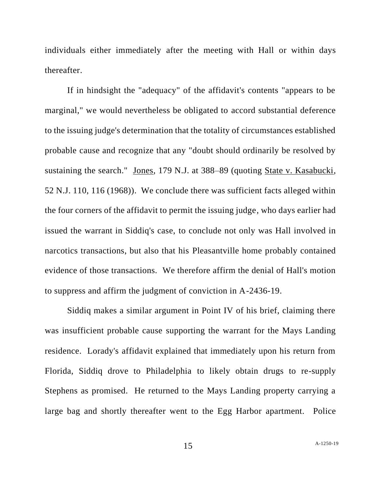individuals either immediately after the meeting with Hall or within days thereafter.

If in hindsight the "adequacy" of the affidavit's contents "appears to be marginal," we would nevertheless be obligated to accord substantial deference to the issuing judge's determination that the totality of circumstances established probable cause and recognize that any "doubt should ordinarily be resolved by sustaining the search." Jones, 179 N.J. at 388–89 (quoting State v. Kasabucki, 52 N.J. 110, 116 (1968)). We conclude there was sufficient facts alleged within the four corners of the affidavit to permit the issuing judge, who days earlier had issued the warrant in Siddiq's case, to conclude not only was Hall involved in narcotics transactions, but also that his Pleasantville home probably contained evidence of those transactions. We therefore affirm the denial of Hall's motion to suppress and affirm the judgment of conviction in A-2436-19.

Siddiq makes a similar argument in Point IV of his brief, claiming there was insufficient probable cause supporting the warrant for the Mays Landing residence. Lorady's affidavit explained that immediately upon his return from Florida, Siddiq drove to Philadelphia to likely obtain drugs to re-supply Stephens as promised. He returned to the Mays Landing property carrying a large bag and shortly thereafter went to the Egg Harbor apartment. Police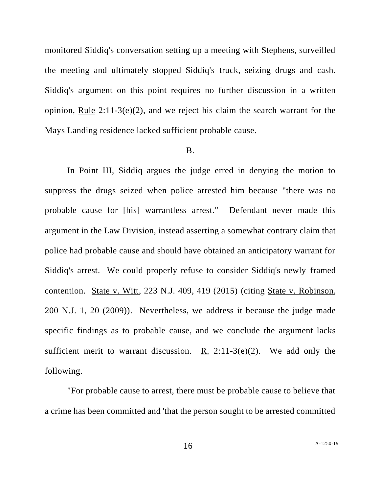monitored Siddiq's conversation setting up a meeting with Stephens, surveilled the meeting and ultimately stopped Siddiq's truck, seizing drugs and cash. Siddiq's argument on this point requires no further discussion in a written opinion, Rule 2:11-3(e)(2), and we reject his claim the search warrant for the Mays Landing residence lacked sufficient probable cause.

#### B.

In Point III, Siddiq argues the judge erred in denying the motion to suppress the drugs seized when police arrested him because "there was no probable cause for [his] warrantless arrest." Defendant never made this argument in the Law Division, instead asserting a somewhat contrary claim that police had probable cause and should have obtained an anticipatory warrant for Siddiq's arrest. We could properly refuse to consider Siddiq's newly framed contention. State v. Witt, 223 N.J. 409, 419 (2015) (citing State v. Robinson, 200 N.J. 1, 20 (2009)). Nevertheless, we address it because the judge made specific findings as to probable cause, and we conclude the argument lacks sufficient merit to warrant discussion. R.  $2:11-3(e)(2)$ . We add only the following.

"For probable cause to arrest, there must be probable cause to believe that a crime has been committed and 'that the person sought to be arrested committed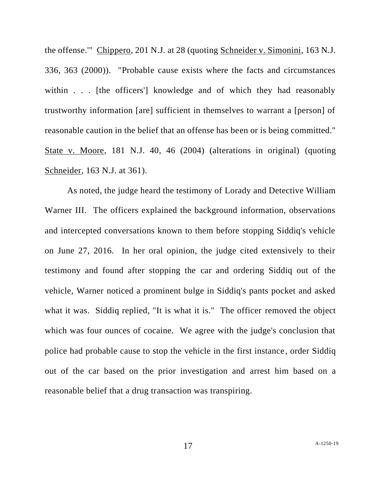the offense.'" Chippero, 201 N.J. at 28 (quoting Schneider v. Simonini, 163 N.J. 336, 363 (2000)). "Probable cause exists where the facts and circumstances within . . . [the officers] knowledge and of which they had reasonably trustworthy information [are] sufficient in themselves to warrant a [person] of reasonable caution in the belief that an offense has been or is being committed." State v. Moore, 181 N.J. 40, 46 (2004) (alterations in original) (quoting Schneider, 163 N.J. at 361).

As noted, the judge heard the testimony of Lorady and Detective William Warner III. The officers explained the background information, observations and intercepted conversations known to them before stopping Siddiq's vehicle on June 27, 2016. In her oral opinion, the judge cited extensively to their testimony and found after stopping the car and ordering Siddiq out of the vehicle, Warner noticed a prominent bulge in Siddiq's pants pocket and asked what it was. Siddiq replied, "It is what it is." The officer removed the object which was four ounces of cocaine. We agree with the judge's conclusion that police had probable cause to stop the vehicle in the first instance, order Siddiq out of the car based on the prior investigation and arrest him based on a reasonable belief that a drug transaction was transpiring.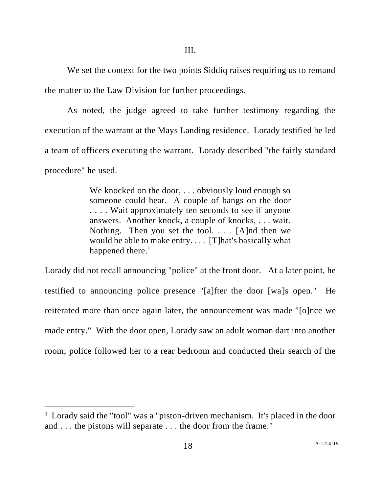We set the context for the two points Siddiq raises requiring us to remand the matter to the Law Division for further proceedings.

As noted, the judge agreed to take further testimony regarding the execution of the warrant at the Mays Landing residence. Lorady testified he led a team of officers executing the warrant. Lorady described "the fairly standard procedure" he used.

> We knocked on the door, ... obviously loud enough so someone could hear. A couple of bangs on the door . . . . Wait approximately ten seconds to see if anyone answers. Another knock, a couple of knocks, . . . wait. Nothing. Then you set the tool. . . . [A]nd then we would be able to make entry. . . . [T]hat's basically what happened there. $<sup>1</sup>$ </sup>

Lorady did not recall announcing "police" at the front door. At a later point, he testified to announcing police presence "[a]fter the door [wa]s open." He reiterated more than once again later, the announcement was made "[o]nce we made entry." With the door open, Lorady saw an adult woman dart into another room; police followed her to a rear bedroom and conducted their search of the

<sup>&</sup>lt;sup>1</sup> Lorady said the "tool" was a "piston-driven mechanism. It's placed in the door and . . . the pistons will separate . . . the door from the frame."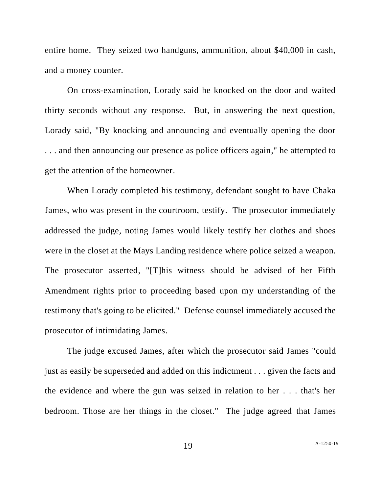entire home. They seized two handguns, ammunition, about \$40,000 in cash, and a money counter.

On cross-examination, Lorady said he knocked on the door and waited thirty seconds without any response. But, in answering the next question, Lorady said, "By knocking and announcing and eventually opening the door . . . and then announcing our presence as police officers again," he attempted to get the attention of the homeowner.

When Lorady completed his testimony, defendant sought to have Chaka James, who was present in the courtroom, testify. The prosecutor immediately addressed the judge, noting James would likely testify her clothes and shoes were in the closet at the Mays Landing residence where police seized a weapon. The prosecutor asserted, "[T]his witness should be advised of her Fifth Amendment rights prior to proceeding based upon my understanding of the testimony that's going to be elicited." Defense counsel immediately accused the prosecutor of intimidating James.

The judge excused James, after which the prosecutor said James "could just as easily be superseded and added on this indictment . . . given the facts and the evidence and where the gun was seized in relation to her . . . that's her bedroom. Those are her things in the closet." The judge agreed that James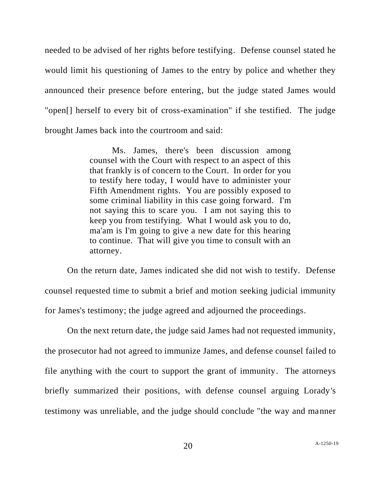needed to be advised of her rights before testifying. Defense counsel stated he would limit his questioning of James to the entry by police and whether they announced their presence before entering, but the judge stated James would "open[] herself to every bit of cross-examination" if she testified. The judge brought James back into the courtroom and said:

> Ms. James, there's been discussion among counsel with the Court with respect to an aspect of this that frankly is of concern to the Court. In order for you to testify here today, I would have to administer your Fifth Amendment rights. You are possibly exposed to some criminal liability in this case going forward. I'm not saying this to scare you. I am not saying this to keep you from testifying. What I would ask you to do, ma'am is I'm going to give a new date for this hearing to continue. That will give you time to consult with an attorney.

On the return date, James indicated she did not wish to testify. Defense counsel requested time to submit a brief and motion seeking judicial immunity for James's testimony; the judge agreed and adjourned the proceedings.

On the next return date, the judge said James had not requested immunity, the prosecutor had not agreed to immunize James, and defense counsel failed to file anything with the court to support the grant of immunity. The attorneys briefly summarized their positions, with defense counsel arguing Lorady's testimony was unreliable, and the judge should conclude "the way and manner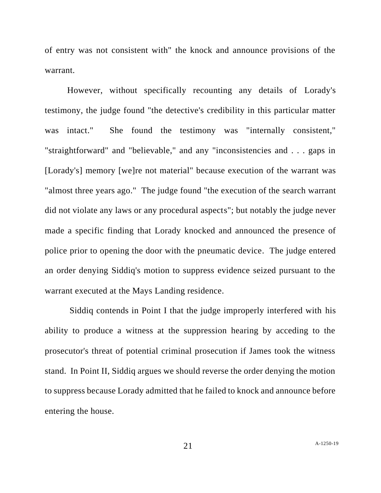of entry was not consistent with" the knock and announce provisions of the warrant.

However, without specifically recounting any details of Lorady's testimony, the judge found "the detective's credibility in this particular matter was intact." She found the testimony was "internally consistent," "straightforward" and "believable," and any "inconsistencies and . . . gaps in [Lorady's] memory [we]re not material" because execution of the warrant was "almost three years ago." The judge found "the execution of the search warrant did not violate any laws or any procedural aspects"; but notably the judge never made a specific finding that Lorady knocked and announced the presence of police prior to opening the door with the pneumatic device. The judge entered an order denying Siddiq's motion to suppress evidence seized pursuant to the warrant executed at the Mays Landing residence.

Siddiq contends in Point I that the judge improperly interfered with his ability to produce a witness at the suppression hearing by acceding to the prosecutor's threat of potential criminal prosecution if James took the witness stand. In Point II, Siddiq argues we should reverse the order denying the motion to suppress because Lorady admitted that he failed to knock and announce before entering the house.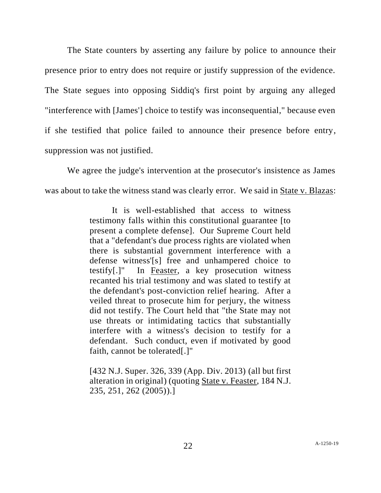The State counters by asserting any failure by police to announce their presence prior to entry does not require or justify suppression of the evidence. The State segues into opposing Siddiq's first point by arguing any alleged "interference with [James'] choice to testify was inconsequential," because even if she testified that police failed to announce their presence before entry, suppression was not justified.

We agree the judge's intervention at the prosecutor's insistence as James was about to take the witness stand was clearly error. We said in State v. Blazas:

> It is well-established that access to witness testimony falls within this constitutional guarantee [to present a complete defense]. Our Supreme Court held that a "defendant's due process rights are violated when there is substantial government interference with a defense witness'[s] free and unhampered choice to testify[.]" In Feaster, a key prosecution witness recanted his trial testimony and was slated to testify at the defendant's post-conviction relief hearing. After a veiled threat to prosecute him for perjury, the witness did not testify. The Court held that "the State may not use threats or intimidating tactics that substantially interfere with a witness's decision to testify for a defendant. Such conduct, even if motivated by good faith, cannot be tolerated[.]"

[432 N.J. Super. 326, 339 (App. Div. 2013) (all but first alteration in original) (quoting State v. Feaster, 184 N.J. 235, 251, 262 (2005)).]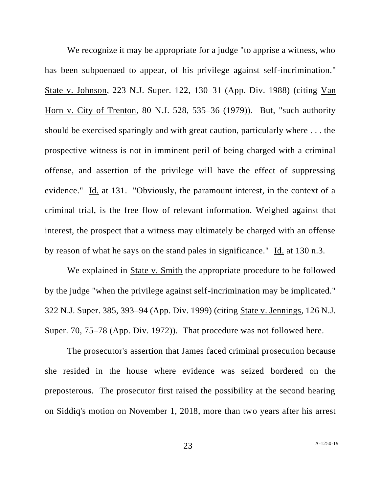We recognize it may be appropriate for a judge "to apprise a witness, who has been subpoenaed to appear, of his privilege against self-incrimination." State v. Johnson, 223 N.J. Super. 122, 130–31 (App. Div. 1988) (citing Van Horn v. City of Trenton, 80 N.J. 528, 535–36 (1979)). But, "such authority should be exercised sparingly and with great caution, particularly where . . . the prospective witness is not in imminent peril of being charged with a criminal offense, and assertion of the privilege will have the effect of suppressing evidence." Id. at 131. "Obviously, the paramount interest, in the context of a criminal trial, is the free flow of relevant information. Weighed against that interest, the prospect that a witness may ultimately be charged with an offense by reason of what he says on the stand pales in significance." Id. at 130 n.3.

We explained in State v. Smith the appropriate procedure to be followed by the judge "when the privilege against self-incrimination may be implicated." 322 N.J. Super. 385, 393–94 (App. Div. 1999) (citing State v. Jennings, 126 N.J. Super. 70, 75–78 (App. Div. 1972)). That procedure was not followed here.

The prosecutor's assertion that James faced criminal prosecution because she resided in the house where evidence was seized bordered on the preposterous. The prosecutor first raised the possibility at the second hearing on Siddiq's motion on November 1, 2018, more than two years after his arrest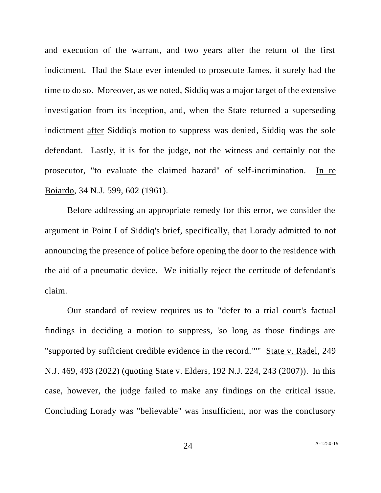and execution of the warrant, and two years after the return of the first indictment. Had the State ever intended to prosecute James, it surely had the time to do so. Moreover, as we noted, Siddiq was a major target of the extensive investigation from its inception, and, when the State returned a superseding indictment after Siddiq's motion to suppress was denied, Siddiq was the sole defendant. Lastly, it is for the judge, not the witness and certainly not the prosecutor, "to evaluate the claimed hazard" of self-incrimination. In re Boiardo, 34 N.J. 599, 602 (1961).

Before addressing an appropriate remedy for this error, we consider the argument in Point I of Siddiq's brief, specifically, that Lorady admitted to not announcing the presence of police before opening the door to the residence with the aid of a pneumatic device. We initially reject the certitude of defendant's claim.

Our standard of review requires us to "defer to a trial court's factual findings in deciding a motion to suppress, 'so long as those findings are "supported by sufficient credible evidence in the record."'" State v. Radel, 249 N.J. 469, 493 (2022) (quoting State v. Elders, 192 N.J. 224, 243 (2007)). In this case, however, the judge failed to make any findings on the critical issue. Concluding Lorady was "believable" was insufficient, nor was the conclusory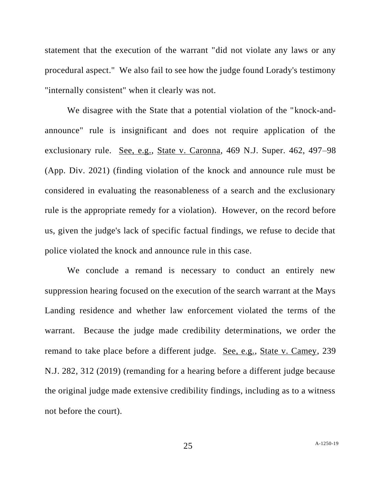statement that the execution of the warrant "did not violate any laws or any procedural aspect." We also fail to see how the judge found Lorady's testimony "internally consistent" when it clearly was not.

We disagree with the State that a potential violation of the "knock-andannounce" rule is insignificant and does not require application of the exclusionary rule. See, e.g., State v. Caronna, 469 N.J. Super. 462, 497–98 (App. Div. 2021) (finding violation of the knock and announce rule must be considered in evaluating the reasonableness of a search and the exclusionary rule is the appropriate remedy for a violation). However, on the record before us, given the judge's lack of specific factual findings, we refuse to decide that police violated the knock and announce rule in this case.

We conclude a remand is necessary to conduct an entirely new suppression hearing focused on the execution of the search warrant at the Mays Landing residence and whether law enforcement violated the terms of the warrant. Because the judge made credibility determinations, we order the remand to take place before a different judge. See, e.g., State v. Camey, 239 N.J. 282, 312 (2019) (remanding for a hearing before a different judge because the original judge made extensive credibility findings, including as to a witness not before the court).